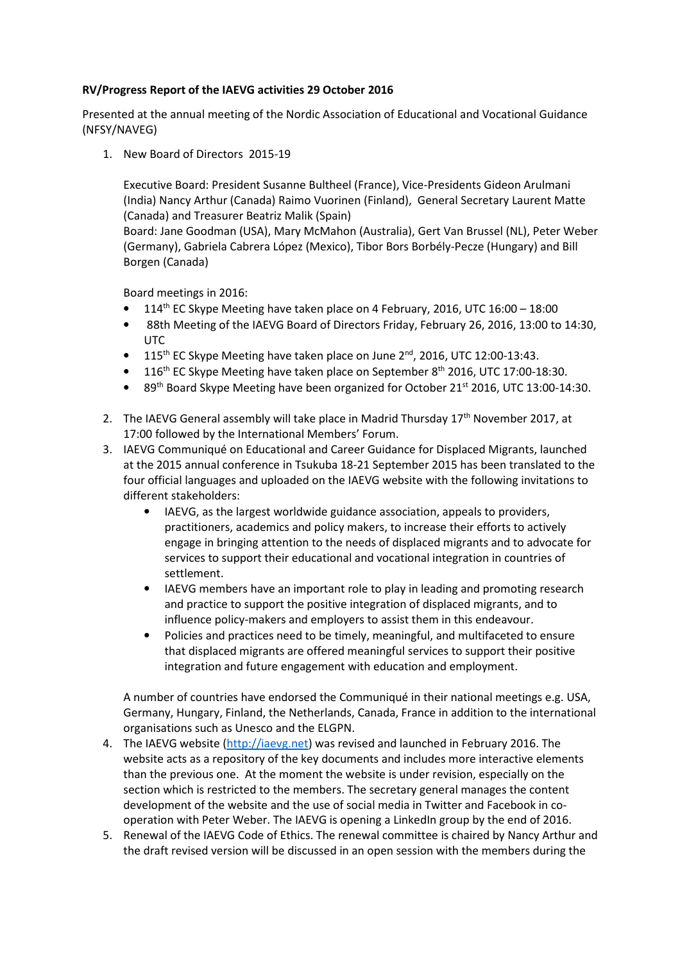## **RV/Progress Report of the IAEVG activities 29 October 2016**

Presented at the annual meeting of the Nordic Association of Educational and Vocational Guidance (NFSY/NAVEG)

1. New Board of Directors 2015-19

Executive Board: President Susanne Bultheel (France), Vice-Presidents Gideon Arulmani (India) Nancy Arthur (Canada) Raimo Vuorinen (Finland), General Secretary Laurent Matte (Canada) and Treasurer Beatriz Malik (Spain)

Board: Jane Goodman (USA), Mary McMahon (Australia), Gert Van Brussel (NL), Peter Weber (Germany), Gabriela Cabrera López (Mexico), Tibor Bors Borbély-Pecze (Hungary) and Bill Borgen (Canada)

Board meetings in 2016:

- 114th EC Skype Meeting have taken place on 4 February, 2016, UTC 16:00 18:00
- 88th Meeting of the IAEVG Board of Directors Friday, February 26, 2016, 13:00 to 14:30, UTC
- 115<sup>th</sup> EC Skype Meeting have taken place on June 2<sup>nd</sup>, 2016, UTC 12:00-13:43.
- 116<sup>th</sup> EC Skype Meeting have taken place on September 8<sup>th</sup> 2016, UTC 17:00-18:30.
- 89<sup>th</sup> Board Skype Meeting have been organized for October 21<sup>st</sup> 2016, UTC 13:00-14:30.
- 2. The IAEVG General assembly will take place in Madrid Thursday  $17<sup>th</sup>$  November 2017, at 17:00 followed by the International Members' Forum.
- 3. IAEVG Communiqué on Educational and Career Guidance for Displaced Migrants, launched at the 2015 annual conference in Tsukuba 18-21 September 2015 has been translated to the four official languages and uploaded on the IAEVG website with the following invitations to different stakeholders:
	- IAEVG, as the largest worldwide guidance association, appeals to providers, practitioners, academics and policy makers, to increase their efforts to actively engage in bringing attention to the needs of displaced migrants and to advocate for services to support their educational and vocational integration in countries of settlement.
	- IAEVG members have an important role to play in leading and promoting research and practice to support the positive integration of displaced migrants, and to influence policy-makers and employers to assist them in this endeavour.
	- Policies and practices need to be timely, meaningful, and multifaceted to ensure that displaced migrants are offered meaningful services to support their positive integration and future engagement with education and employment.

A number of countries have endorsed the Communiqué in their national meetings e.g. USA, Germany, Hungary, Finland, the Netherlands, Canada, France in addition to the international organisations such as Unesco and the ELGPN.

- 4. The IAEVG website (http://iaevg.net) was revised and launched in February 2016. The website acts as a repository of the key documents and includes more interactive elements than the previous one. At the moment the website is under revision, especially on the section which is restricted to the members. The secretary general manages the content development of the website and the use of social media in Twitter and Facebook in cooperation with Peter Weber. The IAEVG is opening a LinkedIn group by the end of 2016.
- 5. Renewal of the IAEVG Code of Ethics. The renewal committee is chaired by Nancy Arthur and the draft revised version will be discussed in an open session with the members during the